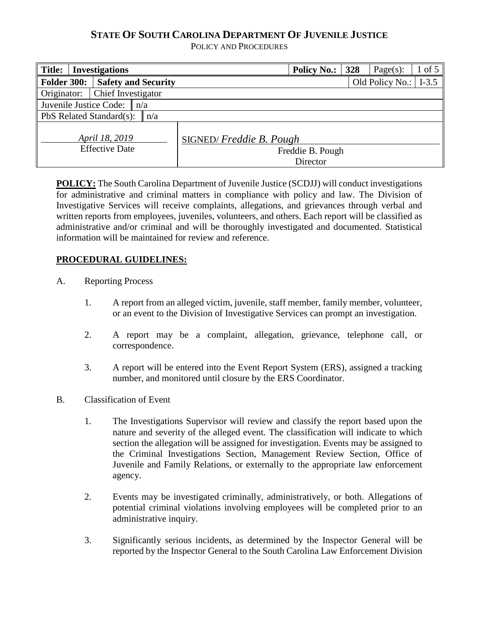# **STATE OF SOUTH CAROLINA DEPARTMENT OF JUVENILE JUSTICE**

POLICY AND PROCEDURES

| <b>Title:</b><br><b>Investigations</b>  |                            | <b>Policy No.:</b>      | 328                          | Page $(s)$ : | $1 \text{ of } 5$ |         |
|-----------------------------------------|----------------------------|-------------------------|------------------------------|--------------|-------------------|---------|
| <b>Folder 300:</b>                      | <b>Safety and Security</b> |                         |                              |              | Old Policy No.:   | $I-3.5$ |
| Originator:                             | Chief Investigator         |                         |                              |              |                   |         |
| Juvenile Justice Code: $\ n/a\ $        |                            |                         |                              |              |                   |         |
| PbS Related Standard(s):<br>n/a         |                            |                         |                              |              |                   |         |
| April 18, 2019<br><b>Effective Date</b> |                            | SIGNED/Freddie B. Pough | Freddie B. Pough<br>Director |              |                   |         |

**POLICY:** The South Carolina Department of Juvenile Justice (SCDJJ) will conduct investigations for administrative and criminal matters in compliance with policy and law. The Division of Investigative Services will receive complaints, allegations, and grievances through verbal and written reports from employees, juveniles, volunteers, and others. Each report will be classified as administrative and/or criminal and will be thoroughly investigated and documented. Statistical information will be maintained for review and reference.

### **PROCEDURAL GUIDELINES:**

- A. Reporting Process
	- 1. A report from an alleged victim, juvenile, staff member, family member, volunteer, or an event to the Division of Investigative Services can prompt an investigation.
	- 2. A report may be a complaint, allegation, grievance, telephone call, or correspondence.
	- 3. A report will be entered into the Event Report System (ERS), assigned a tracking number, and monitored until closure by the ERS Coordinator.
- B. Classification of Event
	- 1. The Investigations Supervisor will review and classify the report based upon the nature and severity of the alleged event. The classification will indicate to which section the allegation will be assigned for investigation. Events may be assigned to the Criminal Investigations Section, Management Review Section, Office of Juvenile and Family Relations, or externally to the appropriate law enforcement agency.
	- 2. Events may be investigated criminally, administratively, or both. Allegations of potential criminal violations involving employees will be completed prior to an administrative inquiry.
	- 3. Significantly serious incidents, as determined by the Inspector General will be reported by the Inspector General to the South Carolina Law Enforcement Division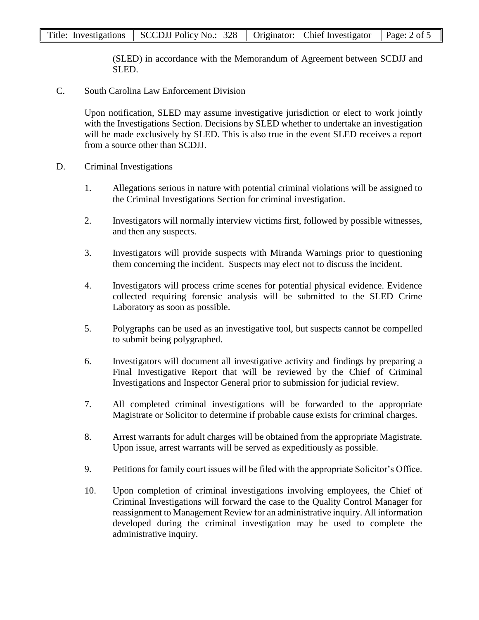(SLED) in accordance with the Memorandum of Agreement between SCDJJ and SLED.

C. South Carolina Law Enforcement Division

Upon notification, SLED may assume investigative jurisdiction or elect to work jointly with the Investigations Section. Decisions by SLED whether to undertake an investigation will be made exclusively by SLED. This is also true in the event SLED receives a report from a source other than SCDJJ.

- D. Criminal Investigations
	- 1. Allegations serious in nature with potential criminal violations will be assigned to the Criminal Investigations Section for criminal investigation.
	- 2. Investigators will normally interview victims first, followed by possible witnesses, and then any suspects.
	- 3. Investigators will provide suspects with Miranda Warnings prior to questioning them concerning the incident. Suspects may elect not to discuss the incident.
	- 4. Investigators will process crime scenes for potential physical evidence. Evidence collected requiring forensic analysis will be submitted to the SLED Crime Laboratory as soon as possible.
	- 5. Polygraphs can be used as an investigative tool, but suspects cannot be compelled to submit being polygraphed.
	- 6. Investigators will document all investigative activity and findings by preparing a Final Investigative Report that will be reviewed by the Chief of Criminal Investigations and Inspector General prior to submission for judicial review.
	- 7. All completed criminal investigations will be forwarded to the appropriate Magistrate or Solicitor to determine if probable cause exists for criminal charges.
	- 8. Arrest warrants for adult charges will be obtained from the appropriate Magistrate. Upon issue, arrest warrants will be served as expeditiously as possible.
	- 9. Petitions for family court issues will be filed with the appropriate Solicitor's Office.
	- 10. Upon completion of criminal investigations involving employees, the Chief of Criminal Investigations will forward the case to the Quality Control Manager for reassignment to Management Review for an administrative inquiry. All information developed during the criminal investigation may be used to complete the administrative inquiry.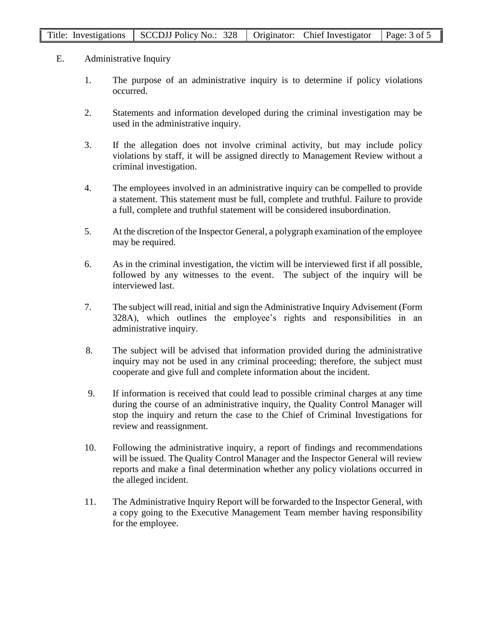- E. Administrative Inquiry
	- 1. The purpose of an administrative inquiry is to determine if policy violations occurred.
	- 2. Statements and information developed during the criminal investigation may be used in the administrative inquiry.
	- 3. If the allegation does not involve criminal activity, but may include policy violations by staff, it will be assigned directly to Management Review without a criminal investigation.
	- 4. The employees involved in an administrative inquiry can be compelled to provide a statement. This statement must be full, complete and truthful. Failure to provide a full, complete and truthful statement will be considered insubordination.
	- 5. At the discretion of the Inspector General, a polygraph examination of the employee may be required.
	- 6. As in the criminal investigation, the victim will be interviewed first if all possible, followed by any witnesses to the event. The subject of the inquiry will be interviewed last.
	- 7. The subject will read, initial and sign the Administrative Inquiry Advisement (Form 328A), which outlines the employee's rights and responsibilities in an administrative inquiry.
	- 8. The subject will be advised that information provided during the administrative inquiry may not be used in any criminal proceeding; therefore, the subject must cooperate and give full and complete information about the incident.
	- 9. If information is received that could lead to possible criminal charges at any time during the course of an administrative inquiry, the Quality Control Manager will stop the inquiry and return the case to the Chief of Criminal Investigations for review and reassignment.
	- 10. Following the administrative inquiry, a report of findings and recommendations will be issued. The Quality Control Manager and the Inspector General will review reports and make a final determination whether any policy violations occurred in the alleged incident.
	- 11. The Administrative Inquiry Report will be forwarded to the Inspector General, with a copy going to the Executive Management Team member having responsibility for the employee.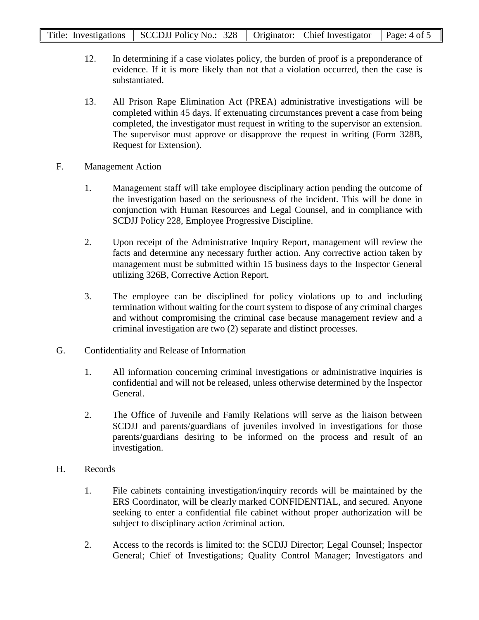- 12. In determining if a case violates policy, the burden of proof is a preponderance of evidence. If it is more likely than not that a violation occurred, then the case is substantiated.
- 13. All Prison Rape Elimination Act (PREA) administrative investigations will be completed within 45 days. If extenuating circumstances prevent a case from being completed, the investigator must request in writing to the supervisor an extension. The supervisor must approve or disapprove the request in writing (Form 328B, Request for Extension).
- F. Management Action
	- 1. Management staff will take employee disciplinary action pending the outcome of the investigation based on the seriousness of the incident. This will be done in conjunction with Human Resources and Legal Counsel, and in compliance with SCDJJ Policy 228, Employee Progressive Discipline.
	- 2. Upon receipt of the Administrative Inquiry Report, management will review the facts and determine any necessary further action. Any corrective action taken by management must be submitted within 15 business days to the Inspector General utilizing 326B, Corrective Action Report.
	- 3. The employee can be disciplined for policy violations up to and including termination without waiting for the court system to dispose of any criminal charges and without compromising the criminal case because management review and a criminal investigation are two (2) separate and distinct processes.
- G. Confidentiality and Release of Information
	- 1. All information concerning criminal investigations or administrative inquiries is confidential and will not be released, unless otherwise determined by the Inspector General.
	- 2. The Office of Juvenile and Family Relations will serve as the liaison between SCDJJ and parents/guardians of juveniles involved in investigations for those parents/guardians desiring to be informed on the process and result of an investigation.
- H. Records
	- 1. File cabinets containing investigation/inquiry records will be maintained by the ERS Coordinator, will be clearly marked CONFIDENTIAL, and secured. Anyone seeking to enter a confidential file cabinet without proper authorization will be subject to disciplinary action /criminal action.
	- 2. Access to the records is limited to: the SCDJJ Director; Legal Counsel; Inspector General; Chief of Investigations; Quality Control Manager; Investigators and